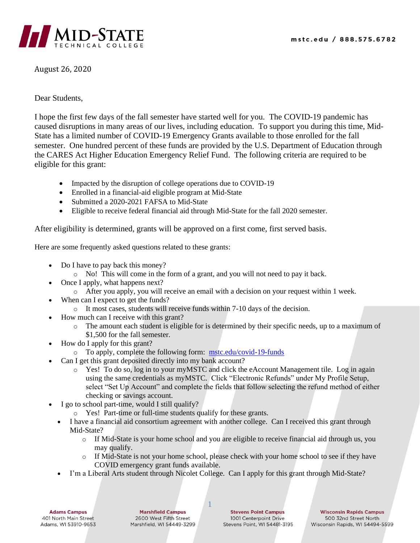

August 26, 2020

## Dear Students,

I hope the first few days of the fall semester have started well for you. The COVID-19 pandemic has caused disruptions in many areas of our lives, including education. To support you during this time, Mid-State has a limited number of COVID-19 Emergency Grants available to those enrolled for the fall semester. One hundred percent of these funds are provided by the U.S. Department of Education through the CARES Act Higher Education Emergency Relief Fund. The following criteria are required to be eligible for this grant:

- Impacted by the disruption of college operations due to COVID-19
- Enrolled in a financial-aid eligible program at Mid-State
- Submitted a 2020-2021 FAFSA to Mid-State
- Eligible to receive federal financial aid through Mid-State for the fall 2020 semester.

After eligibility is determined, grants will be approved on a first come, first served basis.

Here are some frequently asked questions related to these grants:

- Do I have to pay back this money?
	- o No! This will come in the form of a grant, and you will not need to pay it back.
- Once I apply, what happens next?
	- o After you apply, you will receive an email with a decision on your request within 1 week.
- When can I expect to get the funds?
	- o It most cases, students will receive funds within 7-10 days of the decision.
- How much can I receive with this grant?
	- o The amount each student is eligible for is determined by their specific needs, up to a maximum of \$1,500 for the fall semester.
- How do I apply for this grant?
	- o To apply, complete the following form: [mstc.edu/covid-19-funds](http://www.mstc.edu/covid-19-funds)
- Can I get this grant deposited directly into my bank account?
	- o Yes! To do so, log in to your myMSTC and click the eAccount Management tile. Log in again using the same credentials as myMSTC. Click "Electronic Refunds" under My Profile Setup, select "Set Up Account" and complete the fields that follow selecting the refund method of either checking or savings account.
- I go to school part-time, would I still qualify?
	- o Yes! Part-time or full-time students qualify for these grants.
	- I have a financial aid consortium agreement with another college. Can I received this grant through Mid-State?
		- o If Mid-State is your home school and you are eligible to receive financial aid through us, you may qualify.
		- o If Mid-State is not your home school, please check with your home school to see if they have COVID emergency grant funds available.
	- I'm a Liberal Arts student through Nicolet College. Can I apply for this grant through Mid-State?

1

**Adams Campus** 401 North Main Street Adams, WI 53910-9653

**Marshfield Campus** 2600 West Fifth Street Marshfield, WI 54449-3299

**Stevens Point Campus** 1001 Centerpoint Drive Stevens Point, WI 54481-3195

**Wisconsin Rapids Campus** 500 32nd Street North Wisconsin Rapids, WI 54494-5599